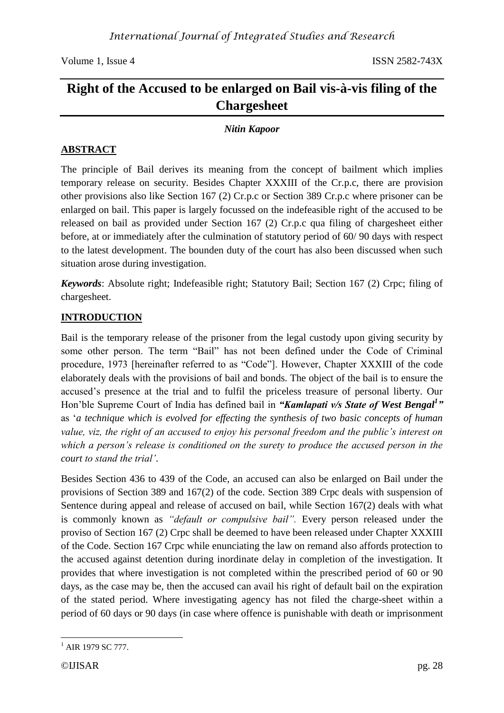# **Right of the Accused to be enlarged on Bail vis-à-vis filing of the Chargesheet**

### *Nitin Kapoor*

### **ABSTRACT**

The principle of Bail derives its meaning from the concept of bailment which implies temporary release on security. Besides Chapter XXXIII of the Cr.p.c, there are provision other provisions also like Section 167 (2) Cr.p.c or Section 389 Cr.p.c where prisoner can be enlarged on bail. This paper is largely focussed on the indefeasible right of the accused to be released on bail as provided under Section 167 (2) Cr.p.c qua filing of chargesheet either before, at or immediately after the culmination of statutory period of 60/ 90 days with respect to the latest development. The bounden duty of the court has also been discussed when such situation arose during investigation.

*Keywords*: Absolute right; Indefeasible right; Statutory Bail; Section 167 (2) Crpc; filing of chargesheet.

### **INTRODUCTION**

Bail is the temporary release of the prisoner from the legal custody upon giving security by some other person. The term "Bail" has not been defined under the Code of Criminal procedure, 1973 [hereinafter referred to as "Code"]. However, Chapter XXXIII of the code elaborately deals with the provisions of bail and bonds. The object of the bail is to ensure the accused's presence at the trial and to fulfil the priceless treasure of personal liberty. Our Hon'ble Supreme Court of India has defined bail in *"Kamlapati v/s State of West Bengal<sup>1</sup> "* as '*a technique which is evolved for effecting the synthesis of two basic concepts of human value, viz, the right of an accused to enjoy his personal freedom and the public's interest on which a person's release is conditioned on the surety to produce the accused person in the court to stand the trial'*.

Besides Section 436 to 439 of the Code, an accused can also be enlarged on Bail under the provisions of Section 389 and 167(2) of the code. Section 389 Crpc deals with suspension of Sentence during appeal and release of accused on bail, while Section 167(2) deals with what is commonly known as *"default or compulsive bail".* Every person released under the proviso of Section 167 (2) Crpc shall be deemed to have been released under Chapter XXXIII of the Code. Section 167 Crpc while enunciating the law on remand also affords protection to the accused against detention during inordinate delay in completion of the investigation. It provides that where investigation is not completed within the prescribed period of 60 or 90 days, as the case may be, then the accused can avail his right of default bail on the expiration of the stated period. Where investigating agency has not filed the charge-sheet within a period of 60 days or 90 days (in case where offence is punishable with death or imprisonment

**<sup>.</sup>**  $^{1}$  AIR 1979 SC 777.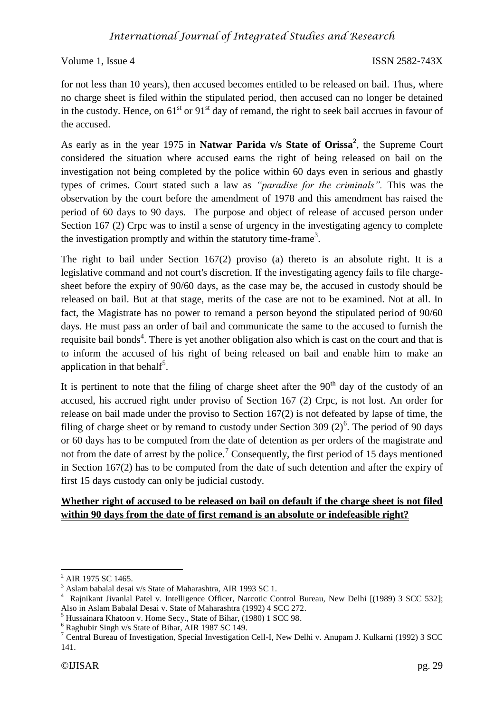for not less than 10 years), then accused becomes entitled to be released on bail. Thus, where no charge sheet is filed within the stipulated period, then accused can no longer be detained in the custody. Hence, on  $61<sup>st</sup>$  or  $91<sup>st</sup>$  day of remand, the right to seek bail accrues in favour of the accused.

As early as in the year 1975 in **Natwar Parida v/s State of Orissa<sup>2</sup>** , the Supreme Court considered the situation where accused earns the right of being released on bail on the investigation not being completed by the police within 60 days even in serious and ghastly types of crimes. Court stated such a law as *"paradise for the criminals".* This was the observation by the court before the amendment of 1978 and this amendment has raised the period of 60 days to 90 days. The purpose and object of release of accused person under Section 167 (2) Crpc was to instil a sense of urgency in the investigating agency to complete the investigation promptly and within the statutory time-frame<sup>3</sup>.

The right to bail under Section 167(2) proviso (a) thereto is an absolute right. It is a legislative command and not court's discretion. If the investigating agency fails to file chargesheet before the expiry of 90/60 days, as the case may be, the accused in custody should be released on bail. But at that stage, merits of the case are not to be examined. Not at all. In fact, the Magistrate has no power to remand a person beyond the stipulated period of 90/60 days. He must pass an order of bail and communicate the same to the accused to furnish the requisite bail bonds<sup>4</sup>. There is yet another obligation also which is cast on the court and that is to inform the accused of his right of being released on bail and enable him to make an application in that behalf<sup>5</sup>.

It is pertinent to note that the filing of charge sheet after the  $90<sup>th</sup>$  day of the custody of an accused, his accrued right under proviso of Section 167 (2) Crpc, is not lost. An order for release on bail made under the proviso to Section 167(2) is not defeated by lapse of time, the filing of charge sheet or by remand to custody under Section 309  $(2)^6$ . The period of 90 days or 60 days has to be computed from the date of detention as per orders of the magistrate and not from the date of arrest by the police.<sup>7</sup> Consequently, the first period of 15 days mentioned in Section 167(2) has to be computed from the date of such detention and after the expiry of first 15 days custody can only be judicial custody.

### **Whether right of accused to be released on bail on default if the charge sheet is not filed within 90 days from the date of first remand is an absolute or indefeasible right?**

**<sup>.</sup>** AIR 1975 SC 1465.

<sup>3</sup> Aslam babalal desai v/s State of Maharashtra, AIR 1993 SC 1.

<sup>4</sup> Rajnikant Jivanlal Patel v. Intelligence Officer, Narcotic Control Bureau, New Delhi [(1989) 3 SCC 532]; Also in Aslam Babalal Desai v. State of Maharashtra (1992) 4 SCC 272.

<sup>5</sup> Hussainara Khatoon v. Home Secy., State of Bihar, (1980) 1 SCC 98.

<sup>6</sup> Raghubir Singh v/s State of Bihar, AIR 1987 SC 149.

<sup>7</sup> Central Bureau of Investigation, Special Investigation Cell-I, New Delhi v. Anupam J. Kulkarni (1992) 3 SCC 141.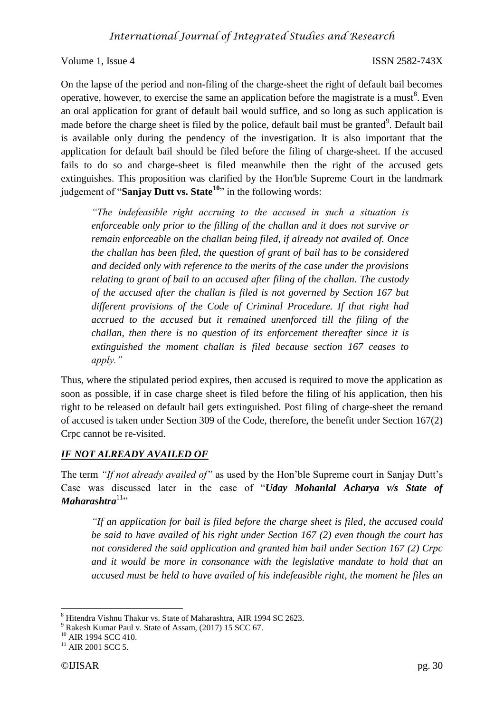On the lapse of the period and non-filing of the charge-sheet the right of default bail becomes operative, however, to exercise the same an application before the magistrate is a must<sup>8</sup>. Even an oral application for grant of default bail would suffice, and so long as such application is made before the charge sheet is filed by the police, default bail must be granted<sup>9</sup>. Default bail is available only during the pendency of the investigation. It is also important that the application for default bail should be filed before the filing of charge-sheet. If the accused fails to do so and charge-sheet is filed meanwhile then the right of the accused gets extinguishes. This proposition was clarified by the Hon'ble Supreme Court in the landmark judgement of "**Sanjay Dutt vs. State<sup>10</sup>**" in the following words:

*"The indefeasible right accruing to the accused in such a situation is enforceable only prior to the filling of the challan and it does not survive or remain enforceable on the challan being filed, if already not availed of. Once the challan has been filed, the question of grant of bail has to be considered and decided only with reference to the merits of the case under the provisions relating to grant of bail to an accused after filing of the challan. The custody of the accused after the challan is filed is not governed by Section 167 but different provisions of the Code of Criminal Procedure. If that right had accrued to the accused but it remained unenforced till the filing of the challan, then there is no question of its enforcement thereafter since it is extinguished the moment challan is filed because section 167 ceases to apply."*

Thus, where the stipulated period expires, then accused is required to move the application as soon as possible, if in case charge sheet is filed before the filing of his application, then his right to be released on default bail gets extinguished. Post filing of charge-sheet the remand of accused is taken under Section 309 of the Code, therefore, the benefit under Section 167(2) Crpc cannot be re-visited.

### *IF NOT ALREADY AVAILED OF*

The term *"If not already availed of"* as used by the Hon'ble Supreme court in Sanjay Dutt's Case was discussed later in the case of "*Uday Mohanlal Acharya v/s State of Maharashtra*<sup>11</sup>"

*"If an application for bail is filed before the charge sheet is filed, the accused could be said to have availed of his right under Section 167 (2) even though the court has not considered the said application and granted him bail under Section 167 (2) Crpc and it would be more in consonance with the legislative mandate to hold that an accused must be held to have availed of his indefeasible right, the moment he files an* 

**.** 

<sup>8</sup> Hitendra Vishnu Thakur vs. State of Maharashtra, AIR 1994 SC 2623.

<sup>9</sup> Rakesh Kumar Paul v. State of Assam, (2017) 15 SCC 67.

<sup>&</sup>lt;sup>10</sup> AIR 1994 SCC 410.

 $11$  AIR 2001 SCC 5.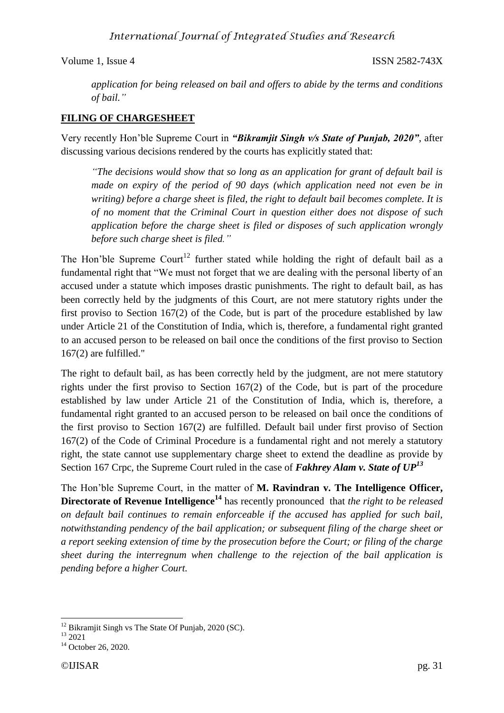## *International Journal of Integrated Studies and Research*

Volume 1, Issue 4 ISSN 2582-743X

*application for being released on bail and offers to abide by the terms and conditions of bail."*

### **FILING OF CHARGESHEET**

Very recently Hon'ble Supreme Court in *"Bikramjit Singh v/s State of Punjab, 2020"*, after discussing various decisions rendered by the courts has explicitly stated that:

*"The decisions would show that so long as an application for grant of default bail is made on expiry of the period of 90 days (which application need not even be in writing) before a charge sheet is filed, the right to default bail becomes complete. It is of no moment that the Criminal Court in question either does not dispose of such application before the charge sheet is filed or disposes of such application wrongly before such charge sheet is filed."*

The Hon'ble Supreme Court<sup>12</sup> further stated while holding the right of default bail as a fundamental right that "We must not forget that we are dealing with the personal liberty of an accused under a statute which imposes drastic punishments. The right to default bail, as has been correctly held by the judgments of this Court, are not mere statutory rights under the first proviso to Section 167(2) of the Code, but is part of the procedure established by law under Article 21 of the Constitution of India, which is, therefore, a fundamental right granted to an accused person to be released on bail once the conditions of the first proviso to Section 167(2) are fulfilled."

The right to default bail, as has been correctly held by the judgment, are not mere statutory rights under the first proviso to Section 167(2) of the Code, but is part of the procedure established by law under Article 21 of the Constitution of India, which is, therefore, a fundamental right granted to an accused person to be released on bail once the conditions of the first proviso to Section 167(2) are fulfilled. Default bail under first proviso of Section 167(2) of the Code of Criminal Procedure is a fundamental right and not merely a statutory right, the state cannot use supplementary charge sheet to extend the deadline as provide by Section 167 Crpc, the Supreme Court ruled in the case of *Fakhrey Alam v. State of UP<sup>13</sup>*

The Hon'ble Supreme Court, in the matter of **M. Ravindran v. The Intelligence Officer, Directorate of Revenue Intelligence<sup>14</sup>** has recently pronounced that *the right to be released on default bail continues to remain enforceable if the accused has applied for such bail, notwithstanding pendency of the bail application; or subsequent filing of the charge sheet or a report seeking extension of time by the prosecution before the Court; or filing of the charge sheet during the interregnum when challenge to the rejection of the bail application is pending before a higher Court.*

<sup>1</sup>  $12$  Bikramjit Singh vs The State Of Punjab, 2020 (SC).

 $13$  2021

<sup>&</sup>lt;sup>14</sup> October 26, 2020.